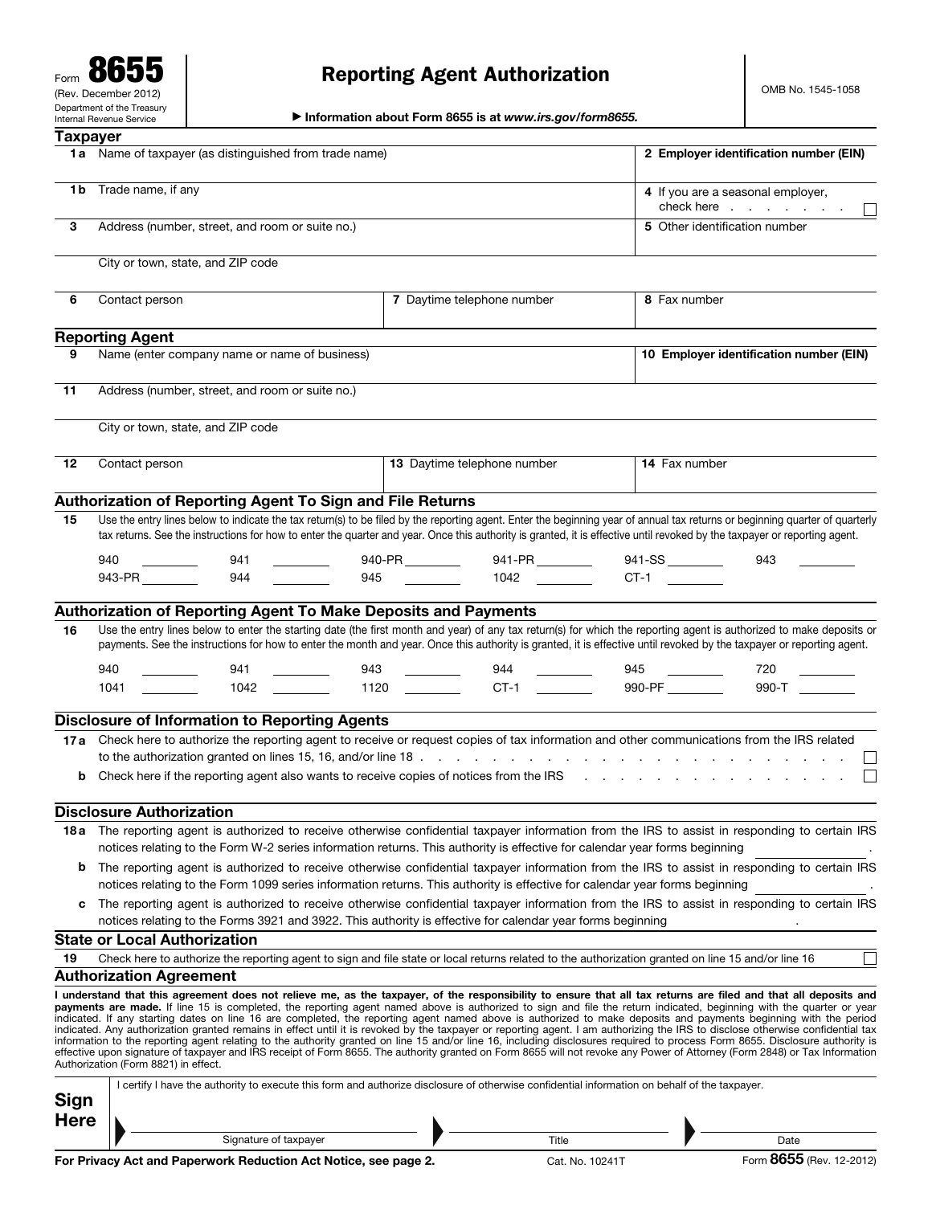# Reporting Agent Authorization

▶ Information about Form 8655 is at *www.irs.gov/form8655.*

| <b>Taxpayer</b> |                                                                                                                                                                                                                                                                                                                                                                                                                                                                                                                                                                                                                                                                                                                                                                                                                                                                                                                                                                                                                                                                                                    |                                                    |                                                                                                                                    |
|-----------------|----------------------------------------------------------------------------------------------------------------------------------------------------------------------------------------------------------------------------------------------------------------------------------------------------------------------------------------------------------------------------------------------------------------------------------------------------------------------------------------------------------------------------------------------------------------------------------------------------------------------------------------------------------------------------------------------------------------------------------------------------------------------------------------------------------------------------------------------------------------------------------------------------------------------------------------------------------------------------------------------------------------------------------------------------------------------------------------------------|----------------------------------------------------|------------------------------------------------------------------------------------------------------------------------------------|
|                 | 1a Name of taxpayer (as distinguished from trade name)                                                                                                                                                                                                                                                                                                                                                                                                                                                                                                                                                                                                                                                                                                                                                                                                                                                                                                                                                                                                                                             | 2 Employer identification number (EIN)             |                                                                                                                                    |
| 1 b             | Trade name, if any                                                                                                                                                                                                                                                                                                                                                                                                                                                                                                                                                                                                                                                                                                                                                                                                                                                                                                                                                                                                                                                                                 |                                                    | 4 If you are a seasonal employer,<br>check here<br>$\mathbf{L}$                                                                    |
| 3               | Address (number, street, and room or suite no.)                                                                                                                                                                                                                                                                                                                                                                                                                                                                                                                                                                                                                                                                                                                                                                                                                                                                                                                                                                                                                                                    |                                                    | 5 Other identification number                                                                                                      |
|                 | City or town, state, and ZIP code                                                                                                                                                                                                                                                                                                                                                                                                                                                                                                                                                                                                                                                                                                                                                                                                                                                                                                                                                                                                                                                                  |                                                    |                                                                                                                                    |
| 6               | Contact person                                                                                                                                                                                                                                                                                                                                                                                                                                                                                                                                                                                                                                                                                                                                                                                                                                                                                                                                                                                                                                                                                     | 7 Daytime telephone number                         | 8 Fax number                                                                                                                       |
|                 | <b>Reporting Agent</b>                                                                                                                                                                                                                                                                                                                                                                                                                                                                                                                                                                                                                                                                                                                                                                                                                                                                                                                                                                                                                                                                             |                                                    |                                                                                                                                    |
| 9               | Name (enter company name or name of business)                                                                                                                                                                                                                                                                                                                                                                                                                                                                                                                                                                                                                                                                                                                                                                                                                                                                                                                                                                                                                                                      |                                                    | 10 Employer identification number (EIN)                                                                                            |
|                 |                                                                                                                                                                                                                                                                                                                                                                                                                                                                                                                                                                                                                                                                                                                                                                                                                                                                                                                                                                                                                                                                                                    |                                                    |                                                                                                                                    |
| 11              | Address (number, street, and room or suite no.)                                                                                                                                                                                                                                                                                                                                                                                                                                                                                                                                                                                                                                                                                                                                                                                                                                                                                                                                                                                                                                                    |                                                    |                                                                                                                                    |
|                 | City or town, state, and ZIP code                                                                                                                                                                                                                                                                                                                                                                                                                                                                                                                                                                                                                                                                                                                                                                                                                                                                                                                                                                                                                                                                  |                                                    |                                                                                                                                    |
| 12              | Contact person                                                                                                                                                                                                                                                                                                                                                                                                                                                                                                                                                                                                                                                                                                                                                                                                                                                                                                                                                                                                                                                                                     | 13 Daytime telephone number                        | 14 Fax number                                                                                                                      |
|                 |                                                                                                                                                                                                                                                                                                                                                                                                                                                                                                                                                                                                                                                                                                                                                                                                                                                                                                                                                                                                                                                                                                    |                                                    |                                                                                                                                    |
|                 | Authorization of Reporting Agent To Sign and File Returns                                                                                                                                                                                                                                                                                                                                                                                                                                                                                                                                                                                                                                                                                                                                                                                                                                                                                                                                                                                                                                          |                                                    |                                                                                                                                    |
| 15              | Use the entry lines below to indicate the tax return(s) to be filed by the reporting agent. Enter the beginning year of annual tax returns or beginning quarter of quarterly<br>tax returns. See the instructions for how to enter the quarter and year. Once this authority is granted, it is effective until revoked by the taxpayer or reporting agent.                                                                                                                                                                                                                                                                                                                                                                                                                                                                                                                                                                                                                                                                                                                                         |                                                    |                                                                                                                                    |
|                 | 940<br>941<br>$\frac{1}{2}$ and $\frac{1}{2}$ and $\frac{1}{2}$ and $\frac{1}{2}$ and $\frac{1}{2}$ and $\frac{1}{2}$ and $\frac{1}{2}$ and $\frac{1}{2}$                                                                                                                                                                                                                                                                                                                                                                                                                                                                                                                                                                                                                                                                                                                                                                                                                                                                                                                                          | 940-PR__________  941-PR_________  941-SS ________ | 943                                                                                                                                |
|                 |                                                                                                                                                                                                                                                                                                                                                                                                                                                                                                                                                                                                                                                                                                                                                                                                                                                                                                                                                                                                                                                                                                    |                                                    |                                                                                                                                    |
|                 |                                                                                                                                                                                                                                                                                                                                                                                                                                                                                                                                                                                                                                                                                                                                                                                                                                                                                                                                                                                                                                                                                                    |                                                    |                                                                                                                                    |
| 16              | <b>Authorization of Reporting Agent To Make Deposits and Payments</b>                                                                                                                                                                                                                                                                                                                                                                                                                                                                                                                                                                                                                                                                                                                                                                                                                                                                                                                                                                                                                              |                                                    |                                                                                                                                    |
|                 | Use the entry lines below to enter the starting date (the first month and year) of any tax return(s) for which the reporting agent is authorized to make deposits or<br>payments. See the instructions for how to enter the month and year. Once this authority is granted, it is effective until revoked by the taxpayer or reporting agent.                                                                                                                                                                                                                                                                                                                                                                                                                                                                                                                                                                                                                                                                                                                                                      |                                                    |                                                                                                                                    |
|                 | 940<br>941                                                                                                                                                                                                                                                                                                                                                                                                                                                                                                                                                                                                                                                                                                                                                                                                                                                                                                                                                                                                                                                                                         | 943<br>944                                         | 945<br>720                                                                                                                         |
|                 | $1042$<br>1041                                                                                                                                                                                                                                                                                                                                                                                                                                                                                                                                                                                                                                                                                                                                                                                                                                                                                                                                                                                                                                                                                     | $CT-1$<br>1120                                     | 990-PF ________<br>990-T and the set of the set of the set of the set of the set of the set of the set of the set of the set of th |
|                 |                                                                                                                                                                                                                                                                                                                                                                                                                                                                                                                                                                                                                                                                                                                                                                                                                                                                                                                                                                                                                                                                                                    |                                                    |                                                                                                                                    |
|                 | <b>Disclosure of Information to Reporting Agents</b>                                                                                                                                                                                                                                                                                                                                                                                                                                                                                                                                                                                                                                                                                                                                                                                                                                                                                                                                                                                                                                               |                                                    |                                                                                                                                    |
|                 | 17a Check here to authorize the reporting agent to receive or request copies of tax information and other communications from the IRS related                                                                                                                                                                                                                                                                                                                                                                                                                                                                                                                                                                                                                                                                                                                                                                                                                                                                                                                                                      |                                                    |                                                                                                                                    |
| b               | Check here if the reporting agent also wants to receive copies of notices from the IRS Changel Check here if the reporting agent also wants to receive copies of notices from the IRS                                                                                                                                                                                                                                                                                                                                                                                                                                                                                                                                                                                                                                                                                                                                                                                                                                                                                                              |                                                    |                                                                                                                                    |
|                 | <b>Disclosure Authorization</b>                                                                                                                                                                                                                                                                                                                                                                                                                                                                                                                                                                                                                                                                                                                                                                                                                                                                                                                                                                                                                                                                    |                                                    |                                                                                                                                    |
|                 | 18a The reporting agent is authorized to receive otherwise confidential taxpayer information from the IRS to assist in responding to certain IRS                                                                                                                                                                                                                                                                                                                                                                                                                                                                                                                                                                                                                                                                                                                                                                                                                                                                                                                                                   |                                                    |                                                                                                                                    |
|                 | notices relating to the Form W-2 series information returns. This authority is effective for calendar year forms beginning                                                                                                                                                                                                                                                                                                                                                                                                                                                                                                                                                                                                                                                                                                                                                                                                                                                                                                                                                                         |                                                    |                                                                                                                                    |
| b               | The reporting agent is authorized to receive otherwise confidential taxpayer information from the IRS to assist in responding to certain IRS<br>notices relating to the Form 1099 series information returns. This authority is effective for calendar year forms beginning                                                                                                                                                                                                                                                                                                                                                                                                                                                                                                                                                                                                                                                                                                                                                                                                                        |                                                    |                                                                                                                                    |
| c               | The reporting agent is authorized to receive otherwise confidential taxpayer information from the IRS to assist in responding to certain IRS<br>notices relating to the Forms 3921 and 3922. This authority is effective for calendar year forms beginning                                                                                                                                                                                                                                                                                                                                                                                                                                                                                                                                                                                                                                                                                                                                                                                                                                         |                                                    |                                                                                                                                    |
|                 | <b>State or Local Authorization</b>                                                                                                                                                                                                                                                                                                                                                                                                                                                                                                                                                                                                                                                                                                                                                                                                                                                                                                                                                                                                                                                                |                                                    |                                                                                                                                    |
| 19              | Check here to authorize the reporting agent to sign and file state or local returns related to the authorization granted on line 15 and/or line 16                                                                                                                                                                                                                                                                                                                                                                                                                                                                                                                                                                                                                                                                                                                                                                                                                                                                                                                                                 |                                                    |                                                                                                                                    |
|                 | <b>Authorization Agreement</b>                                                                                                                                                                                                                                                                                                                                                                                                                                                                                                                                                                                                                                                                                                                                                                                                                                                                                                                                                                                                                                                                     |                                                    |                                                                                                                                    |
|                 | I understand that this agreement does not relieve me, as the taxpayer, of the responsibility to ensure that all tax returns are filed and that all deposits and<br>payments are made. If line 15 is completed, the reporting agent named above is authorized to sign and file the return indicated, beginning with the quarter or year<br>indicated. If any starting dates on line 16 are completed, the reporting agent named above is authorized to make deposits and payments beginning with the period<br>indicated. Any authorization granted remains in effect until it is revoked by the taxpayer or reporting agent. I am authorizing the IRS to disclose otherwise confidential tax<br>information to the reporting agent relating to the authority granted on line 15 and/or line 16, including disclosures required to process Form 8655. Disclosure authority is<br>effective upon signature of taxpayer and IRS receipt of Form 8655. The authority granted on Form 8655 will not revoke any Power of Attorney (Form 2848) or Tax Information<br>Authorization (Form 8821) in effect. |                                                    |                                                                                                                                    |
| <b>Sign</b>     | I certify I have the authority to execute this form and authorize disclosure of otherwise confidential information on behalf of the taxpayer.                                                                                                                                                                                                                                                                                                                                                                                                                                                                                                                                                                                                                                                                                                                                                                                                                                                                                                                                                      |                                                    |                                                                                                                                    |
| <b>Here</b>     | Signature of taxpayer                                                                                                                                                                                                                                                                                                                                                                                                                                                                                                                                                                                                                                                                                                                                                                                                                                                                                                                                                                                                                                                                              | Title                                              | Date                                                                                                                               |
|                 |                                                                                                                                                                                                                                                                                                                                                                                                                                                                                                                                                                                                                                                                                                                                                                                                                                                                                                                                                                                                                                                                                                    |                                                    |                                                                                                                                    |